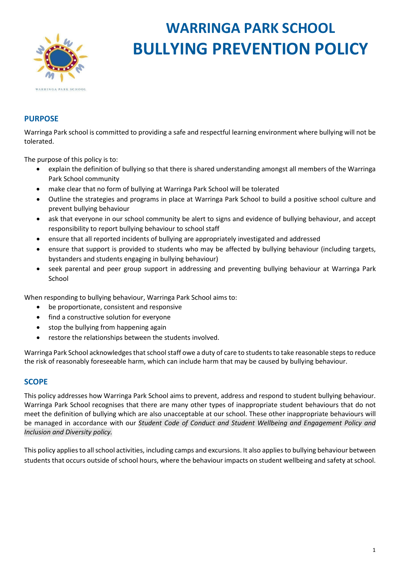

# **WARRINGA PARK SCHOOL BULLYING PREVENTION POLICY**

## **PURPOSE**

Warringa Park school is committed to providing a safe and respectful learning environment where bullying will not be tolerated.

The purpose of this policy is to:

- explain the definition of bullying so that there is shared understanding amongst all members of the Warringa Park School community
- make clear that no form of bullying at Warringa Park School will be tolerated
- Outline the strategies and programs in place at Warringa Park School to build a positive school culture and prevent bullying behaviour
- ask that everyone in our school community be alert to signs and evidence of bullying behaviour, and accept responsibility to report bullying behaviour to school staff
- ensure that all reported incidents of bullying are appropriately investigated and addressed
- ensure that support is provided to students who may be affected by bullying behaviour (including targets, bystanders and students engaging in bullying behaviour)
- seek parental and peer group support in addressing and preventing bullying behaviour at Warringa Park School

When responding to bullying behaviour, Warringa Park School aims to:

- be proportionate, consistent and responsive
- find a constructive solution for everyone
- stop the bullying from happening again
- restore the relationships between the students involved.

Warringa Park School acknowledges that school staff owe a duty of care to students to take reasonable steps to reduce the risk of reasonably foreseeable harm, which can include harm that may be caused by bullying behaviour.

#### **SCOPE**

This policy addresses how Warringa Park School aims to prevent, address and respond to student bullying behaviour. Warringa Park School recognises that there are many other types of inappropriate student behaviours that do not meet the definition of bullying which are also unacceptable at our school. These other inappropriate behaviours will be managed in accordance with our *Student Code of Conduct and Student Wellbeing and Engagement Policy and Inclusion and Diversity policy.*

This policy applies to all school activities, including camps and excursions. It also applies to bullying behaviour between students that occurs outside of school hours, where the behaviour impacts on student wellbeing and safety at school.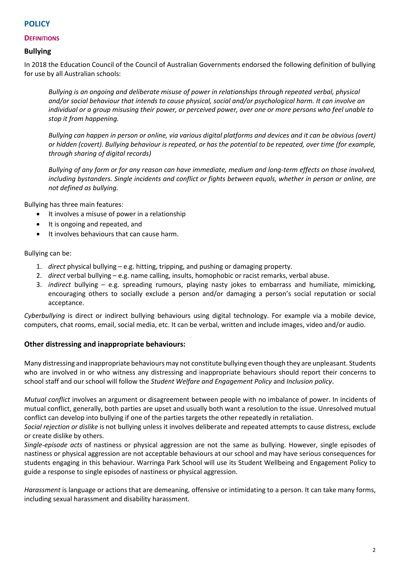## **POLICY**

#### **DEFINITIONS**

### **Bullying**

In 2018 the Education Council of the Council of Australian Governments endorsed the following definition of bullying for use by all Australian schools:

*Bullying is an ongoing and deliberate misuse of power in relationships through repeated verbal, physical and/or social behaviour that intends to cause physical, social and/or psychological harm. It can involve an individual or a group misusing their power, or perceived power, over one or more persons who feel unable to stop it from happening.*

*Bullying can happen in person or online, via various digital platforms and devices and it can be obvious (overt) or hidden (covert). Bullying behaviour is repeated, or has the potential to be repeated, over time (for example, through sharing of digital records)*

*Bullying of any form or for any reason can have immediate, medium and long-term effects on those involved, including bystanders. Single incidents and conflict or fights between equals, whether in person or online, are not defined as bullying.* 

Bullying has three main features:

- It involves a misuse of power in a relationship
- It is ongoing and repeated, and
- It involves behaviours that can cause harm.

Bullying can be:

- 1. *direct* physical bullying e.g. hitting, tripping, and pushing or damaging property.
- 2. *direct* verbal bullying e.g. name calling, insults, homophobic or racist remarks, verbal abuse.
- 3. *indirect* bullying e.g. spreading rumours, playing nasty jokes to embarrass and humiliate, mimicking, encouraging others to socially exclude a person and/or damaging a person's social reputation or social acceptance.

*Cyberbullying* is direct or indirect bullying behaviours using digital technology. For example via a mobile device, computers, chat rooms, email, social media, etc. It can be verbal, written and include images, video and/or audio.

#### **Other distressing and inappropriate behaviours:**

Many distressing and inappropriate behaviours may not constitute bullying even though they are unpleasant. Students who are involved in or who witness any distressing and inappropriate behaviours should report their concerns to school staff and our school will follow the *Student Welfare and Engagement Policy* and *Inclusion policy*.

*Mutual conflict* involves an argument or disagreement between people with no imbalance of power. In incidents of mutual conflict, generally, both parties are upset and usually both want a resolution to the issue. Unresolved mutual conflict can develop into bullying if one of the parties targets the other repeatedly in retaliation.

*Social rejection or dislike* is not bullying unless it involves deliberate and repeated attempts to cause distress, exclude or create dislike by others.

*Single-episode acts* of nastiness or physical aggression are not the same as bullying. However, single episodes of nastiness or physical aggression are not acceptable behaviours at our school and may have serious consequences for students engaging in this behaviour. Warringa Park School will use its Student Wellbeing and Engagement Policy to guide a response to single episodes of nastiness or physical aggression.

*Harassment* is language or actions that are demeaning, offensive or intimidating to a person. It can take many forms, including sexual harassment and disability harassment.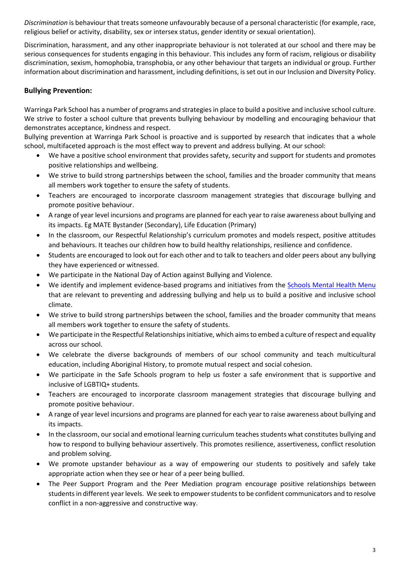*Discrimination* is behaviour that treats someone unfavourably because of a personal characteristic (for example, race, religious belief or activity, disability, sex or intersex status, gender identity or sexual orientation).

Discrimination, harassment, and any other inappropriate behaviour is not tolerated at our school and there may be serious consequences for students engaging in this behaviour. This includes any form of racism, religious or disability discrimination, sexism, homophobia, transphobia, or any other behaviour that targets an individual or group. Further information about discrimination and harassment, including definitions, is set out in our Inclusion and Diversity Policy.

## **Bullying Prevention:**

Warringa Park School has a number of programs and strategies in place to build a positive and inclusive school culture. We strive to foster a school culture that prevents bullying behaviour by modelling and encouraging behaviour that demonstrates acceptance, kindness and respect.

Bullying prevention at Warringa Park School is proactive and is supported by research that indicates that a whole school, multifaceted approach is the most effect way to prevent and address bullying. At our school:

- We have a positive school environment that provides safety, security and support for students and promotes positive relationships and wellbeing.
- We strive to build strong partnerships between the school, families and the broader community that means all members work together to ensure the safety of students.
- Teachers are encouraged to incorporate classroom management strategies that discourage bullying and promote positive behaviour.
- A range of year level incursions and programs are planned for each year to raise awareness about bullying and its impacts. Eg MATE Bystander (Secondary), Life Education (Primary)
- In the classroom, our Respectful Relationship's curriculum promotes and models respect, positive attitudes and behaviours. It teaches our children how to build healthy relationships, resilience and confidence.
- Students are encouraged to look out for each other and to talk to teachers and older peers about any bullying they have experienced or witnessed.
- We participate in the National Day of Action against Bullying and Violence.
- We identify and implement evidence-based programs and initiatives from the **Schools Mental Health Menu** that are relevant to preventing and addressing bullying and help us to build a positive and inclusive school climate.
- We strive to build strong partnerships between the school, families and the broader community that means all members work together to ensure the safety of students.
- We participate in the Respectful Relationships initiative, which aims to embed a culture of respect and equality across our school.
- We celebrate the diverse backgrounds of members of our school community and teach multicultural education, including Aboriginal History, to promote mutual respect and social cohesion.
- We participate in the Safe Schools program to help us foster a safe environment that is supportive and inclusive of LGBTIQ+ students.
- Teachers are encouraged to incorporate classroom management strategies that discourage bullying and promote positive behaviour.
- A range of year level incursions and programs are planned for each year to raise awareness about bullying and its impacts.
- In the classroom, our social and emotional learning curriculum teaches students what constitutes bullying and how to respond to bullying behaviour assertively. This promotes resilience, assertiveness, conflict resolution and problem solving.
- We promote upstander behaviour as a way of empowering our students to positively and safely take appropriate action when they see or hear of a peer being bullied.
- The Peer Support Program and the Peer Mediation program encourage positive relationships between students in different year levels. We seek to empower students to be confident communicators and to resolve conflict in a non-aggressive and constructive way.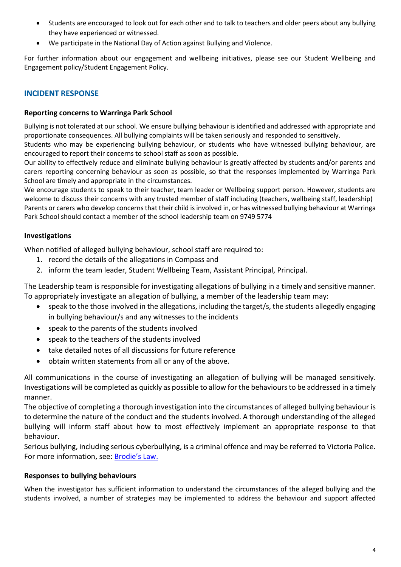- Students are encouraged to look out for each other and to talk to teachers and older peers about any bullying they have experienced or witnessed.
- We participate in the National Day of Action against Bullying and Violence.

For further information about our engagement and wellbeing initiatives, please see our Student Wellbeing and Engagement policy/Student Engagement Policy.

## **INCIDENT RESPONSE**

#### **Reporting concerns to Warringa Park School**

Bullying is not tolerated at our school. We ensure bullying behaviour is identified and addressed with appropriate and proportionate consequences. All bullying complaints will be taken seriously and responded to sensitively.

Students who may be experiencing bullying behaviour, or students who have witnessed bullying behaviour, are encouraged to report their concerns to school staff as soon as possible.

Our ability to effectively reduce and eliminate bullying behaviour is greatly affected by students and/or parents and carers reporting concerning behaviour as soon as possible, so that the responses implemented by Warringa Park School are timely and appropriate in the circumstances.

We encourage students to speak to their teacher, team leader or Wellbeing support person. However, students are welcome to discuss their concerns with any trusted member of staff including (teachers, wellbeing staff, leadership) Parents or carers who develop concerns that their child is involved in, or has witnessed bullying behaviour at Warringa Park School should contact a member of the school leadership team on 9749 5774

#### **Investigations**

When notified of alleged bullying behaviour, school staff are required to:

- 1. record the details of the allegations in Compass and
- 2. inform the team leader, Student Wellbeing Team, Assistant Principal, Principal.

The Leadership team is responsible for investigating allegations of bullying in a timely and sensitive manner. To appropriately investigate an allegation of bullying, a member of the leadership team may:

- speak to the those involved in the allegations, including the target/s, the students allegedly engaging in bullying behaviour/s and any witnesses to the incidents
- speak to the parents of the students involved
- speak to the teachers of the students involved
- take detailed notes of all discussions for future reference
- obtain written statements from all or any of the above.

All communications in the course of investigating an allegation of bullying will be managed sensitively. Investigations will be completed as quickly as possible to allow for the behaviours to be addressed in a timely manner.

The objective of completing a thorough investigation into the circumstances of alleged bullying behaviour is to determine the nature of the conduct and the students involved. A thorough understanding of the alleged bullying will inform staff about how to most effectively implement an appropriate response to that behaviour.

Serious bullying, including serious cyberbullying, is a criminal offence and may be referred to Victoria Police. For more information, see: [Brodie's Law.](http://www.education.vic.gov.au/about/programs/bullystoppers/Pages/advicesheetbrodieslaw.aspx)

#### **Responses to bullying behaviours**

When the investigator has sufficient information to understand the circumstances of the alleged bullying and the students involved, a number of strategies may be implemented to address the behaviour and support affected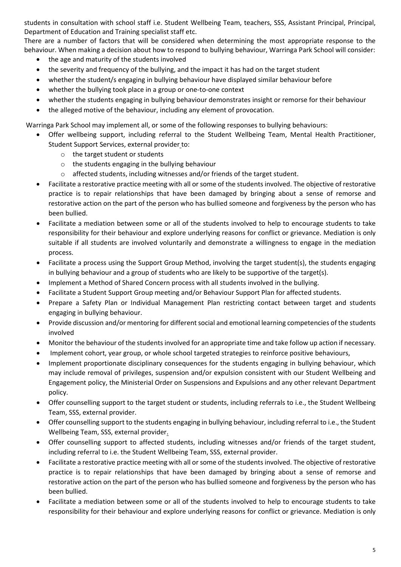students in consultation with school staff i.e. Student Wellbeing Team, teachers, SSS, Assistant Principal, Principal, Department of Education and Training specialist staff etc.

There are a number of factors that will be considered when determining the most appropriate response to the behaviour. When making a decision about how to respond to bullying behaviour, Warringa Park School will consider:

- the age and maturity of the students involved
- the severity and frequency of the bullying, and the impact it has had on the target student
- whether the student/s engaging in bullying behaviour have displayed similar behaviour before
- whether the bullying took place in a group or one-to-one context
- whether the students engaging in bullying behaviour demonstrates insight or remorse for their behaviour
- the alleged motive of the behaviour, including any element of provocation.

Warringa Park School may implement all, or some of the following responses to bullying behaviours:

- Offer wellbeing support, including referral to the Student Wellbeing Team, Mental Health Practitioner, Student Support Services, external provider to:
	- o the target student or students
	- o the students engaging in the bullying behaviour
	- o affected students, including witnesses and/or friends of the target student.
- Facilitate a restorative practice meeting with all or some of the students involved. The objective of restorative practice is to repair relationships that have been damaged by bringing about a sense of remorse and restorative action on the part of the person who has bullied someone and forgiveness by the person who has been bullied.
- Facilitate a mediation between some or all of the students involved to help to encourage students to take responsibility for their behaviour and explore underlying reasons for conflict or grievance. Mediation is only suitable if all students are involved voluntarily and demonstrate a willingness to engage in the mediation process.
- Facilitate a process using the Support Group Method, involving the target student(s), the students engaging in bullying behaviour and a group of students who are likely to be supportive of the target(s).
- Implement a Method of Shared Concern process with all students involved in the bullying.
- Facilitate a Student Support Group meeting and/or Behaviour Support Plan for affected students.
- Prepare a Safety Plan or Individual Management Plan restricting contact between target and students engaging in bullying behaviour.
- Provide discussion and/or mentoring for different social and emotional learning competencies of the students involved
- Monitor the behaviour of the students involved for an appropriate time and take follow up action if necessary.
- Implement cohort, year group, or whole school targeted strategies to reinforce positive behaviours,
- Implement proportionate disciplinary consequences for the students engaging in bullying behaviour, which may include removal of privileges, suspension and/or expulsion consistent with our Student Wellbeing and Engagement policy, the Ministerial Order on Suspensions and Expulsions and any other relevant Department policy.
- Offer counselling support to the target student or students, including referrals to i.e., the Student Wellbeing Team, SSS, external provider.
- Offer counselling support to the students engaging in bullying behaviour, including referral to i.e., the Student Wellbeing Team, SSS, external provider.
- Offer counselling support to affected students, including witnesses and/or friends of the target student, including referral to i.e. the Student Wellbeing Team, SSS, external provider.
- Facilitate a restorative practice meeting with all or some of the students involved. The objective of restorative practice is to repair relationships that have been damaged by bringing about a sense of remorse and restorative action on the part of the person who has bullied someone and forgiveness by the person who has been bullied.
- Facilitate a mediation between some or all of the students involved to help to encourage students to take responsibility for their behaviour and explore underlying reasons for conflict or grievance. Mediation is only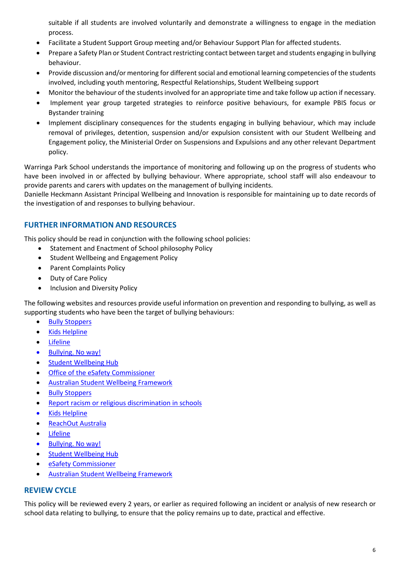suitable if all students are involved voluntarily and demonstrate a willingness to engage in the mediation process.

- Facilitate a Student Support Group meeting and/or Behaviour Support Plan for affected students.
- Prepare a Safety Plan or Student Contract restricting contact between target and students engaging in bullying behaviour.
- Provide discussion and/or mentoring for different social and emotional learning competencies of the students involved, including youth mentoring, Respectful Relationships, Student Wellbeing support
- Monitor the behaviour of the students involved for an appropriate time and take follow up action if necessary.
- Implement year group targeted strategies to reinforce positive behaviours, for example PBIS focus or Bystander training
- Implement disciplinary consequences for the students engaging in bullying behaviour, which may include removal of privileges, detention, suspension and/or expulsion consistent with our Student Wellbeing and Engagement policy, the Ministerial Order on Suspensions and Expulsions and any other relevant Department policy.

Warringa Park School understands the importance of monitoring and following up on the progress of students who have been involved in or affected by bullying behaviour. Where appropriate, school staff will also endeavour to provide parents and carers with updates on the management of bullying incidents.

Danielle Heckmann Assistant Principal Wellbeing and Innovation is responsible for maintaining up to date records of the investigation of and responses to bullying behaviour.

## **FURTHER INFORMATION AND RESOURCES**

This policy should be read in conjunction with the following school policies:

- Statement and Enactment of School philosophy Policy
- Student Wellbeing and Engagement Policy
- Parent Complaints Policy
- Duty of Care Policy
- Inclusion and Diversity Policy

The following websites and resources provide useful information on prevention and responding to bullying, as well as supporting students who have been the target of bullying behaviours:

- [Bully Stoppers](https://bullyingnoway.gov.au/PreventingBullying/Planning/Pages/School-policy.aspx)
- [Kids Helpline](https://kidshelpline.com.au/)
- [Lifeline](https://www.lifeline.org.au/)
- [Bullying. No way!](https://bullyingnoway.gov.au/PreventingBullying/Planning/Pages/School-policy.aspx)
- [Student Wellbeing Hub](https://www.studentwellbeinghub.edu.au/)
- [Office of the eSafety Commissioner](https://www.esafety.gov.au/)
- [Australian Student Wellbeing Framework](https://www.studentwellbeinghub.edu.au/resources/detail?id=dd6b5222-d5c5-6d32-997d-ff0000a69c30#/)
- **[Bully Stoppers](https://www.education.vic.gov.au/about/programs/bullystoppers/Pages/default.aspx)**
- [Report racism or religious discrimination in schools](https://www.vic.gov.au/report-racism-or-religious-discrimination-schools)
- [Kids Helpline](https://kidshelpline.com.au/)
- [ReachOut Australia](https://au.reachout.com/)
- [Lifeline](https://www.lifeline.org.au/)
- [Bullying. No way!](https://bullyingnoway.gov.au/)
- [Student Wellbeing Hub](https://www.studentwellbeinghub.edu.au/)
- [eSafety Commissioner](https://www.esafety.gov.au/)
- [Australian Student Wellbeing Framework](https://studentwellbeinghub.edu.au/educators/resources/australian-student-wellbeing-framework/)

## **REVIEW CYCLE**

This policy will be reviewed every 2 years, or earlier as required following an incident or analysis of new research or school data relating to bullying, to ensure that the policy remains up to date, practical and effective.